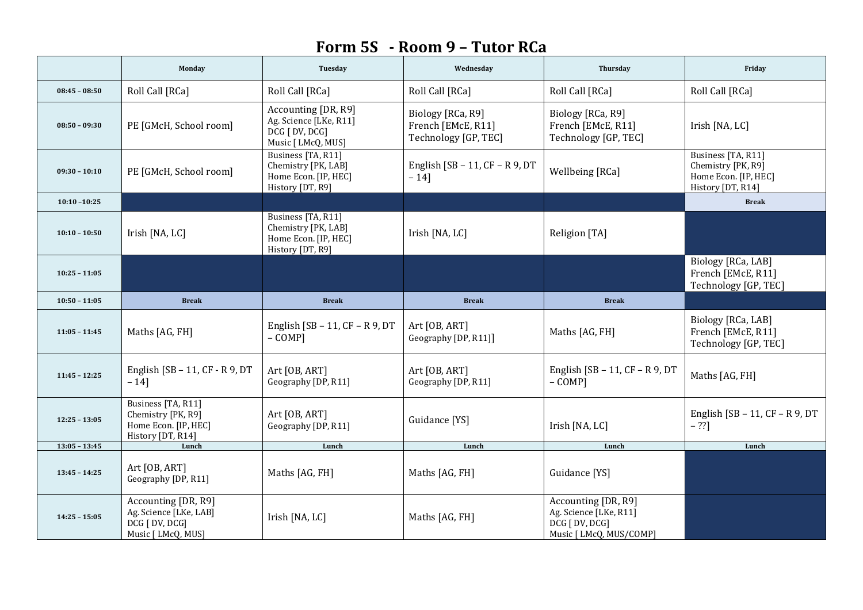## **Form 5S - Room 9 – Tutor RCa**

|                 | Monday                                                                                | Tuesday                                                                               | Wednesday                                                       | Thursday                                                                                   | Friday                                                                                |
|-----------------|---------------------------------------------------------------------------------------|---------------------------------------------------------------------------------------|-----------------------------------------------------------------|--------------------------------------------------------------------------------------------|---------------------------------------------------------------------------------------|
| $08:45 - 08:50$ | Roll Call [RCa]                                                                       | Roll Call [RCa]                                                                       | Roll Call [RCa]                                                 | Roll Call [RCa]                                                                            | Roll Call [RCa]                                                                       |
| $08:50 - 09:30$ | PE [GMcH, School room]                                                                | Accounting [DR, R9]<br>Ag. Science [LKe, R11]<br>DCG [ DV, DCG]<br>Music [ LMcQ, MUS] | Biology [RCa, R9]<br>French [EMcE, R11]<br>Technology [GP, TEC] | Biology [RCa, R9]<br>French [EMcE, R11]<br>Technology [GP, TEC]                            | Irish [NA, LC]                                                                        |
| $09:30 - 10:10$ | PE [GMcH, School room]                                                                | Business [TA, R11]<br>Chemistry [PK, LAB]<br>Home Econ. [IP, HEC]<br>History [DT, R9] | English $[SB - 11, CF - R9, DT]$<br>$-14$ ]                     | Wellbeing [RCa]                                                                            | Business [TA, R11]<br>Chemistry [PK, R9]<br>Home Econ. [IP, HEC]<br>History [DT, R14] |
| $10:10 - 10:25$ |                                                                                       |                                                                                       |                                                                 |                                                                                            | <b>Break</b>                                                                          |
| $10:10 - 10:50$ | Irish [NA, LC]                                                                        | Business [TA, R11]<br>Chemistry [PK, LAB]<br>Home Econ. [IP, HEC]<br>History [DT, R9] | Irish [NA, LC]                                                  | Religion [TA]                                                                              |                                                                                       |
| $10:25 - 11:05$ |                                                                                       |                                                                                       |                                                                 |                                                                                            | Biology [RCa, LAB]<br>French [EMcE, R11]<br>Technology [GP, TEC]                      |
| $10:50 - 11:05$ | <b>Break</b>                                                                          | <b>Break</b>                                                                          | <b>Break</b>                                                    | <b>Break</b>                                                                               |                                                                                       |
| $11:05 - 11:45$ | Maths [AG, FH]                                                                        | English [SB - 11, $CF - R$ 9, DT<br>$-COMP$ ]                                         | Art [OB, ART]<br>Geography [DP, R11]]                           | Maths [AG, FH]                                                                             | Biology [RCa, LAB]<br>French [EMcE, R11]<br>Technology [GP, TEC]                      |
| $11:45 - 12:25$ | English [SB $-11$ , CF $-$ R 9, DT<br>$-14$ ]                                         | Art [OB, ART]<br>Geography [DP, R11]                                                  | Art [OB, ART]<br>Geography [DP, R11]                            | English $[SB - 11, CF - R9, DT]$<br>$-COMP$ ]                                              | Maths [AG, FH]                                                                        |
| $12:25 - 13:05$ | Business [TA, R11]<br>Chemistry [PK, R9]<br>Home Econ. [IP, HEC]<br>History [DT, R14] | Art [OB, ART]<br>Geography [DP, R11]                                                  | Guidance [YS]                                                   | Irish [NA, LC]                                                                             | English $[SB - 11, CF - R9, DT]$<br>$- 22$ ]                                          |
| $13:05 - 13:45$ | Lunch                                                                                 | Lunch                                                                                 | Lunch                                                           | Lunch                                                                                      | Lunch                                                                                 |
| $13:45 - 14:25$ | Art [OB, ART]<br>Geography [DP, R11]                                                  | Maths [AG, FH]                                                                        | Maths [AG, FH]                                                  | Guidance [YS]                                                                              |                                                                                       |
| $14:25 - 15:05$ | Accounting [DR, R9]<br>Ag. Science [LKe, LAB]<br>DCG [ DV, DCG]<br>Music [ LMcQ, MUS] | Irish [NA, LC]                                                                        | Maths [AG, FH]                                                  | Accounting [DR, R9]<br>Ag. Science [LKe, R11]<br>DCG [ DV, DCG]<br>Music [ LMcQ, MUS/COMP] |                                                                                       |